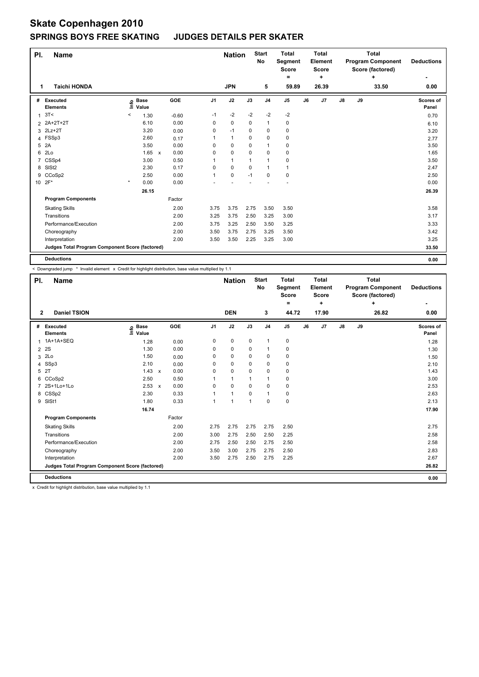# **Skate Copenhagen 2010 SPRINGS BOYS FREE SKATING JUDGES DETAILS PER SKATER**

| PI.            | <b>Name</b>                                     |                              |              |         |                | <b>Nation</b> |          | <b>Start</b><br>No | <b>Total</b><br>Segment<br><b>Score</b><br>$=$ |    | <b>Total</b><br>Element<br><b>Score</b><br>٠ |               | <b>Program Component</b><br>Score (factored) | <b>Deductions</b> |                    |
|----------------|-------------------------------------------------|------------------------------|--------------|---------|----------------|---------------|----------|--------------------|------------------------------------------------|----|----------------------------------------------|---------------|----------------------------------------------|-------------------|--------------------|
| 1              | <b>Taichi HONDA</b>                             |                              |              |         |                | <b>JPN</b>    |          | 5                  | 59.89                                          |    | 26.39                                        |               |                                              | 33.50             | 0.00               |
| #              | Executed<br><b>Elements</b>                     | <b>Base</b><br>١nfo<br>Value |              | GOE     | J <sub>1</sub> | J2            | J3       | J <sub>4</sub>     | J <sub>5</sub>                                 | J6 | J7                                           | $\mathsf{J}8$ | J9                                           |                   | Scores of<br>Panel |
| 1              | 3T<                                             | 1.30<br>$\,<$                |              | $-0.60$ | $-1$           | $-2$          | $-2$     | $-2$               | $-2$                                           |    |                                              |               |                                              |                   | 0.70               |
| $\overline{2}$ | 2A+2T+2T                                        | 6.10                         |              | 0.00    | 0              | 0             | 0        | $\mathbf{1}$       | 0                                              |    |                                              |               |                                              |                   | 6.10               |
|                | 3 2Lz+2T                                        | 3.20                         |              | 0.00    | 0              | $-1$          | 0        | 0                  | 0                                              |    |                                              |               |                                              |                   | 3.20               |
|                | 4 FSSp3                                         | 2.60                         |              | 0.17    | 1              | $\mathbf{1}$  | 0        | $\Omega$           | $\pmb{0}$                                      |    |                                              |               |                                              |                   | 2.77               |
| 5              | 2A                                              | 3.50                         |              | 0.00    | 0              | $\mathbf 0$   | 0        | $\overline{1}$     | 0                                              |    |                                              |               |                                              |                   | 3.50               |
| 6              | 2Lo                                             | 1.65                         | $\mathsf{x}$ | 0.00    | 0              | $\mathbf 0$   | $\Omega$ | $\mathbf 0$        | $\pmb{0}$                                      |    |                                              |               |                                              |                   | 1.65               |
|                | 7 CSSp4                                         | 3.00                         |              | 0.50    | 1              | $\mathbf{1}$  | 1        | $\mathbf{1}$       | 0                                              |    |                                              |               |                                              |                   | 3.50               |
|                | 8 SISt2                                         | 2.30                         |              | 0.17    | 0              | $\mathbf 0$   | 0        | $\mathbf{1}$       | $\mathbf{1}$                                   |    |                                              |               |                                              |                   | 2.47               |
| 9              | CCoSp2                                          | 2.50                         |              | 0.00    | 1              | $\mathbf 0$   | $-1$     | 0                  | $\mathbf 0$                                    |    |                                              |               |                                              |                   | 2.50               |
|                | 10 2F*                                          | $\star$<br>0.00              |              | 0.00    |                |               |          |                    |                                                |    |                                              |               |                                              |                   | 0.00               |
|                |                                                 | 26.15                        |              |         |                |               |          |                    |                                                |    |                                              |               |                                              |                   | 26.39              |
|                | <b>Program Components</b>                       |                              |              | Factor  |                |               |          |                    |                                                |    |                                              |               |                                              |                   |                    |
|                | <b>Skating Skills</b>                           |                              |              | 2.00    | 3.75           | 3.75          | 2.75     | 3.50               | 3.50                                           |    |                                              |               |                                              |                   | 3.58               |
|                | Transitions                                     |                              |              | 2.00    | 3.25           | 3.75          | 2.50     | 3.25               | 3.00                                           |    |                                              |               |                                              |                   | 3.17               |
|                | Performance/Execution                           |                              |              | 2.00    | 3.75           | 3.25          | 2.50     | 3.50               | 3.25                                           |    |                                              |               |                                              |                   | 3.33               |
|                | Choreography                                    |                              |              | 2.00    | 3.50           | 3.75          | 2.75     | 3.25               | 3.50                                           |    |                                              |               |                                              |                   | 3.42               |
|                | Interpretation                                  |                              |              | 2.00    | 3.50           | 3.50          | 2.25     | 3.25               | 3.00                                           |    |                                              |               |                                              |                   | 3.25               |
|                | Judges Total Program Component Score (factored) |                              |              |         |                |               |          |                    |                                                |    |                                              |               |                                              |                   | 33.50              |
|                | <b>Deductions</b>                               |                              |              |         |                |               |          |                    |                                                |    |                                              |               |                                              |                   | 0.00               |

< Downgraded jump \* Invalid element x Credit for highlight distribution, base value multiplied by 1.1

| PI.          | <b>Name</b>                                     |                              |                           |        |                |              | <b>Nation</b> | <b>Start</b><br>No | <b>Total</b><br>Segment<br><b>Score</b><br>= |    | <b>Total</b><br>Element<br><b>Score</b><br>٠ |               | <b>Program Component</b><br>Score (factored) | <b>Deductions</b> |                    |
|--------------|-------------------------------------------------|------------------------------|---------------------------|--------|----------------|--------------|---------------|--------------------|----------------------------------------------|----|----------------------------------------------|---------------|----------------------------------------------|-------------------|--------------------|
| $\mathbf{2}$ | <b>Daniel TSION</b>                             |                              |                           |        |                | <b>DEN</b>   |               | 3                  | 44.72                                        |    | 17.90                                        |               |                                              | 0.00              |                    |
| #            | Executed<br><b>Elements</b>                     | <b>Base</b><br>lnfo<br>Value |                           | GOE    | J <sub>1</sub> | J2           | J3            | J <sub>4</sub>     | J <sub>5</sub>                               | J6 | J <sub>7</sub>                               | $\mathsf{J}8$ | J9                                           |                   | Scores of<br>Panel |
| 1            | 1A+1A+SEQ                                       | 1.28                         |                           | 0.00   | 0              | 0            | 0             | $\mathbf{1}$       | 0                                            |    |                                              |               |                                              |                   | 1.28               |
| 2            | 2S                                              | 1.30                         |                           | 0.00   | 0              | 0            | 0             | $\mathbf{1}$       | 0                                            |    |                                              |               |                                              |                   | 1.30               |
| 3            | 2Lo                                             | 1.50                         |                           | 0.00   | 0              | 0            | 0             | 0                  | 0                                            |    |                                              |               |                                              |                   | 1.50               |
| 4            | SSp3                                            | 2.10                         |                           | 0.00   | $\Omega$       | $\mathbf 0$  | $\Omega$      | $\mathbf 0$        | $\pmb{0}$                                    |    |                                              |               |                                              |                   | 2.10               |
| 5            | 2T                                              | 1.43                         | $\mathsf{x}$              | 0.00   | 0              | $\mathbf 0$  | $\mathbf 0$   | $\mathbf 0$        | $\mathbf 0$                                  |    |                                              |               |                                              |                   | 1.43               |
| 6            | CCoSp2                                          | 2.50                         |                           | 0.50   |                | $\mathbf{1}$ |               | $\mathbf{1}$       | 0                                            |    |                                              |               |                                              |                   | 3.00               |
| 7            | 2S+1Lo+1Lo                                      | 2.53                         | $\boldsymbol{\mathsf{x}}$ | 0.00   | $\Omega$       | $\Omega$     | 0             | $\mathbf 0$        | $\mathbf 0$                                  |    |                                              |               |                                              |                   | 2.53               |
|              | 8 CSSp2                                         | 2.30                         |                           | 0.33   | 1              | $\mathbf{1}$ | $\mathbf 0$   | $\mathbf{1}$       | 0                                            |    |                                              |               |                                              |                   | 2.63               |
| 9            | SISt1                                           | 1.80                         |                           | 0.33   |                | 1            |               | $\mathbf 0$        | $\pmb{0}$                                    |    |                                              |               |                                              |                   | 2.13               |
|              |                                                 | 16.74                        |                           |        |                |              |               |                    |                                              |    |                                              |               |                                              |                   | 17.90              |
|              | <b>Program Components</b>                       |                              |                           | Factor |                |              |               |                    |                                              |    |                                              |               |                                              |                   |                    |
|              | <b>Skating Skills</b>                           |                              |                           | 2.00   | 2.75           | 2.75         | 2.75          | 2.75               | 2.50                                         |    |                                              |               |                                              |                   | 2.75               |
|              | Transitions                                     |                              |                           | 2.00   | 3.00           | 2.75         | 2.50          | 2.50               | 2.25                                         |    |                                              |               |                                              |                   | 2.58               |
|              | Performance/Execution                           |                              |                           | 2.00   | 2.75           | 2.50         | 2.50          | 2.75               | 2.50                                         |    |                                              |               |                                              |                   | 2.58               |
|              | Choreography                                    |                              |                           | 2.00   | 3.50           | 3.00         | 2.75          | 2.75               | 2.50                                         |    |                                              |               |                                              |                   | 2.83               |
|              | Interpretation                                  |                              |                           | 2.00   | 3.50           | 2.75         | 2.50          | 2.75               | 2.25                                         |    |                                              |               |                                              |                   | 2.67               |
|              | Judges Total Program Component Score (factored) |                              |                           |        |                |              |               |                    |                                              |    |                                              |               |                                              |                   | 26.82              |
|              | <b>Deductions</b>                               |                              |                           |        |                |              |               |                    |                                              |    |                                              |               |                                              |                   | 0.00               |

x Credit for highlight distribution, base value multiplied by 1.1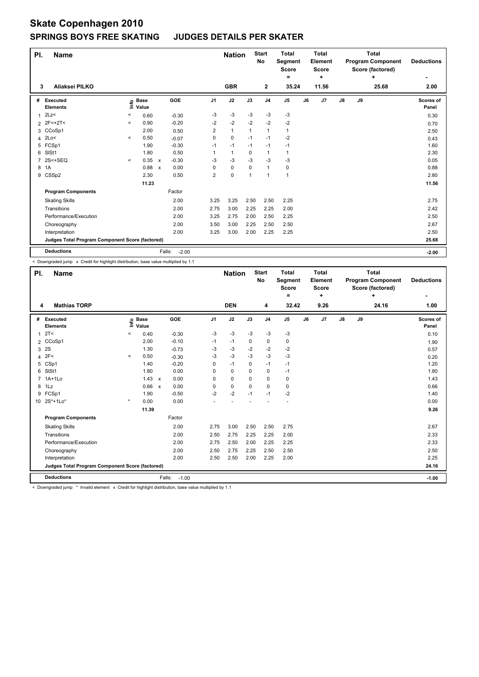## **Skate Copenhagen 2010 SPRINGS BOYS FREE SKATING JUDGES DETAILS PER SKATER**

| PI.            | <b>Name</b>                                     |         |                      |                           |                   |                | <b>Nation</b> |          | <b>Start</b><br>No | <b>Total</b><br>Segment<br><b>Score</b> |    | <b>Total</b><br><b>Element</b><br><b>Score</b> |               | <b>Program Component</b><br>Score (factored) | <b>Deductions</b> |                    |
|----------------|-------------------------------------------------|---------|----------------------|---------------------------|-------------------|----------------|---------------|----------|--------------------|-----------------------------------------|----|------------------------------------------------|---------------|----------------------------------------------|-------------------|--------------------|
| 3              | Aliaksei PILKO                                  |         |                      |                           |                   |                | <b>GBR</b>    |          | $\mathbf{2}$       | =<br>35.24                              |    | ٠<br>11.56                                     |               |                                              | ÷<br>25.68        | 2.00               |
|                |                                                 |         |                      |                           |                   |                |               |          |                    |                                         |    |                                                |               |                                              |                   |                    |
| #              | Executed<br><b>Elements</b>                     | ۴ô      | <b>Base</b><br>Value |                           | GOE               | J <sub>1</sub> | J2            | J3       | J <sub>4</sub>     | J <sub>5</sub>                          | J6 | J7                                             | $\mathsf{J}8$ | J9                                           |                   | Scores of<br>Panel |
| 1              | 2Lz                                             | $\,<\,$ | 0.60                 |                           | $-0.30$           | $-3$           | $-3$          | $-3$     | $-3$               | $-3$                                    |    |                                                |               |                                              |                   | 0.30               |
|                | 2 2F<+2T<                                       | $\prec$ | 0.90                 |                           | $-0.20$           | $-2$           | $-2$          | $-2$     | $-2$               | $-2$                                    |    |                                                |               |                                              |                   | 0.70               |
|                | 3 CCoSp1                                        |         | 2.00                 |                           | 0.50              | $\overline{2}$ | $\mathbf{1}$  | 1        | $\mathbf{1}$       | $\mathbf{1}$                            |    |                                                |               |                                              |                   | 2.50               |
| 4              | 2Lo<                                            | $\prec$ | 0.50                 |                           | $-0.07$           | 0              | $\mathbf 0$   | $-1$     | $-1$               | $-2$                                    |    |                                                |               |                                              |                   | 0.43               |
|                | 5 FCSp1                                         |         | 1.90                 |                           | $-0.30$           | $-1$           | $-1$          | $-1$     | $-1$               | $-1$                                    |    |                                                |               |                                              |                   | 1.60               |
| 6              | SISt1                                           |         | 1.80                 |                           | 0.50              | 1              | $\mathbf{1}$  | 0        | $\mathbf{1}$       | $\mathbf{1}$                            |    |                                                |               |                                              |                   | 2.30               |
| $\overline{7}$ | $2S < +SEQ$                                     | $\prec$ | 0.35                 | $\mathsf{x}$              | $-0.30$           | -3             | $-3$          | $-3$     | $-3$               | -3                                      |    |                                                |               |                                              |                   | 0.05               |
| 8              | 1A                                              |         | 0.88                 | $\boldsymbol{\mathsf{x}}$ | 0.00              | 0              | 0             | $\Omega$ | $\mathbf{1}$       | 0                                       |    |                                                |               |                                              |                   | 0.88               |
|                | 9 CSSp2                                         |         | 2.30                 |                           | 0.50              | 2              | 0             | 1        | $\overline{1}$     | 1                                       |    |                                                |               |                                              |                   | 2.80               |
|                |                                                 |         | 11.23                |                           |                   |                |               |          |                    |                                         |    |                                                |               |                                              |                   | 11.56              |
|                | <b>Program Components</b>                       |         |                      |                           | Factor            |                |               |          |                    |                                         |    |                                                |               |                                              |                   |                    |
|                | <b>Skating Skills</b>                           |         |                      |                           | 2.00              | 3.25           | 3.25          | 2.50     | 2.50               | 2.25                                    |    |                                                |               |                                              |                   | 2.75               |
|                | Transitions                                     |         |                      |                           | 2.00              | 2.75           | 3.00          | 2.25     | 2.25               | 2.00                                    |    |                                                |               |                                              |                   | 2.42               |
|                | Performance/Execution                           |         |                      |                           | 2.00              | 3.25           | 2.75          | 2.00     | 2.50               | 2.25                                    |    |                                                |               |                                              |                   | 2.50               |
|                | Choreography                                    |         |                      |                           | 2.00              | 3.50           | 3.00          | 2.25     | 2.50               | 2.50                                    |    |                                                |               |                                              |                   | 2.67               |
|                | Interpretation                                  |         |                      |                           | 2.00              | 3.25           | 3.00          | 2.00     | 2.25               | 2.25                                    |    |                                                |               |                                              |                   | 2.50               |
|                | Judges Total Program Component Score (factored) |         |                      |                           |                   |                |               |          |                    |                                         |    |                                                |               |                                              |                   | 25.68              |
|                | <b>Deductions</b>                               |         |                      |                           | Falls:<br>$-2.00$ |                |               |          |                    |                                         |    |                                                |               |                                              |                   | $-2.00$            |

< Downgraded jump x Credit for highlight distribution, base value multiplied by 1.1

| PI.            | <b>Name</b>                                     |                           | <b>Nation</b>        |                      | <b>Start</b><br><b>No</b> | <b>Total</b><br>Segment<br><b>Score</b><br>$\equiv$ |          | <b>Total</b><br><b>Element</b><br><b>Score</b><br>٠ |       |    | <b>Total</b><br><b>Program Component</b><br>Score (factored)<br>÷ | <b>Deductions</b> |    |       |                    |
|----------------|-------------------------------------------------|---------------------------|----------------------|----------------------|---------------------------|-----------------------------------------------------|----------|-----------------------------------------------------|-------|----|-------------------------------------------------------------------|-------------------|----|-------|--------------------|
| 4              | <b>Mathias TORP</b>                             |                           |                      |                      |                           | <b>DEN</b>                                          |          | 4                                                   | 32.42 |    | 9.26                                                              |                   |    | 24.16 | 1.00               |
| #              | Executed<br><b>Elements</b>                     | $\mathsf{Int}^\mathsf{o}$ | <b>Base</b><br>Value | <b>GOE</b>           | J <sub>1</sub>            | J2                                                  | J3       | J <sub>4</sub>                                      | J5    | J6 | J7                                                                | $\mathsf{J}8$     | J9 |       | Scores of<br>Panel |
| 1              | 2T <                                            | $\,<\,$                   | 0.40                 | $-0.30$              | $-3$                      | $-3$                                                | $-3$     | $-3$                                                | $-3$  |    |                                                                   |                   |    |       | 0.10               |
| $\overline{2}$ | CCoSp1                                          |                           | 2.00                 | $-0.10$              | $-1$                      | $-1$                                                | 0        | 0                                                   | 0     |    |                                                                   |                   |    |       | 1.90               |
| 3              | 2S                                              |                           | 1.30                 | $-0.73$              | $-3$                      | $-3$                                                | $-2$     | $-2$                                                | $-2$  |    |                                                                   |                   |    |       | 0.57               |
| $\overline{4}$ | 2F<                                             | $\prec$                   | 0.50                 | $-0.30$              | $-3$                      | $-3$                                                | $-3$     | $-3$                                                | $-3$  |    |                                                                   |                   |    |       | 0.20               |
| 5              | CSp1                                            |                           | 1.40                 | $-0.20$              | 0                         | $-1$                                                | $\Omega$ | $-1$                                                | $-1$  |    |                                                                   |                   |    |       | 1.20               |
| 6              | SIS <sub>t1</sub>                               |                           | 1.80                 | 0.00                 | 0                         | $\mathbf 0$                                         | 0        | $\mathbf 0$                                         | $-1$  |    |                                                                   |                   |    |       | 1.80               |
|                | $1A+1L0$                                        |                           | $1.43 \times$        | 0.00                 | 0                         | $\mathbf 0$                                         | $\Omega$ | $\mathbf 0$                                         | 0     |    |                                                                   |                   |    |       | 1.43               |
| 8              | 1Lz                                             |                           | 0.66                 | 0.00<br>$\mathsf{x}$ | 0                         | 0                                                   | 0        | $\mathbf 0$                                         | 0     |    |                                                                   |                   |    |       | 0.66               |
| 9              | FCSp1                                           |                           | 1.90                 | $-0.50$              | $-2$                      | $-2$                                                | $-1$     | $-1$                                                | $-2$  |    |                                                                   |                   |    |       | 1.40               |
| 10             | $2S*+1Lo*$                                      | $\star$                   | 0.00                 | 0.00                 |                           |                                                     |          |                                                     |       |    |                                                                   |                   |    |       | 0.00               |
|                |                                                 |                           | 11.39                |                      |                           |                                                     |          |                                                     |       |    |                                                                   |                   |    |       | 9.26               |
|                | <b>Program Components</b>                       |                           |                      | Factor               |                           |                                                     |          |                                                     |       |    |                                                                   |                   |    |       |                    |
|                | <b>Skating Skills</b>                           |                           |                      | 2.00                 | 2.75                      | 3.00                                                | 2.50     | 2.50                                                | 2.75  |    |                                                                   |                   |    |       | 2.67               |
|                | Transitions                                     |                           |                      | 2.00                 | 2.50                      | 2.75                                                | 2.25     | 2.25                                                | 2.00  |    |                                                                   |                   |    |       | 2.33               |
|                | Performance/Execution                           |                           |                      | 2.00                 | 2.75                      | 2.50                                                | 2.00     | 2.25                                                | 2.25  |    |                                                                   |                   |    |       | 2.33               |
|                | Choreography                                    |                           |                      | 2.00                 | 2.50                      | 2.75                                                | 2.25     | 2.50                                                | 2.50  |    |                                                                   |                   |    |       | 2.50               |
|                | Interpretation                                  |                           |                      | 2.00                 | 2.50                      | 2.50                                                | 2.00     | 2.25                                                | 2.00  |    |                                                                   |                   |    |       | 2.25               |
|                | Judges Total Program Component Score (factored) |                           |                      |                      |                           |                                                     |          |                                                     |       |    |                                                                   |                   |    |       | 24.16              |
|                | <b>Deductions</b>                               |                           |                      | Falls:<br>$-1.00$    |                           |                                                     |          |                                                     |       |    |                                                                   |                   |    |       | $-1.00$            |

< Downgraded jump \* Invalid element x Credit for highlight distribution, base value multiplied by 1.1